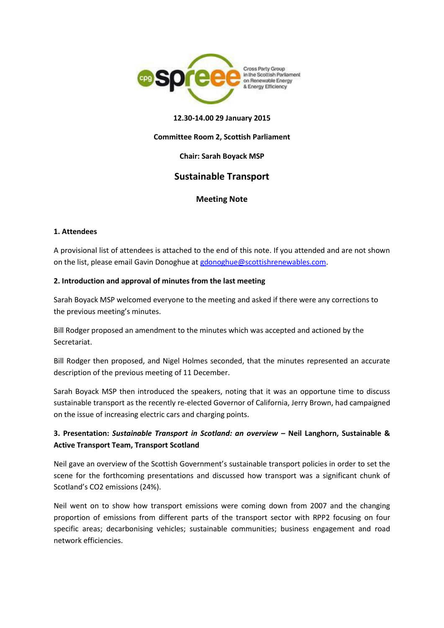

### **12.30-14.00 29 January 2015**

#### **Committee Room 2, Scottish Parliament**

### **Chair: Sarah Boyack MSP**

# **Sustainable Transport**

## **Meeting Note**

### **1. Attendees**

A provisional list of attendees is attached to the end of this note. If you attended and are not shown on the list, please email Gavin Donoghue a[t gdonoghue@scottishrenewables.com.](mailto:gdonoghue@scottishrenewables.com)

### **2. Introduction and approval of minutes from the last meeting**

Sarah Boyack MSP welcomed everyone to the meeting and asked if there were any corrections to the previous meeting's minutes.

Bill Rodger proposed an amendment to the minutes which was accepted and actioned by the Secretariat.

Bill Rodger then proposed, and Nigel Holmes seconded, that the minutes represented an accurate description of the previous meeting of 11 December.

Sarah Boyack MSP then introduced the speakers, noting that it was an opportune time to discuss sustainable transport as the recently re-elected Governor of California, Jerry Brown, had campaigned on the issue of increasing electric cars and charging points.

## **3. Presentation:** *Sustainable Transport in Scotland: an overview –* **Neil Langhorn, Sustainable & Active Transport Team, Transport Scotland**

Neil gave an overview of the Scottish Government's sustainable transport policies in order to set the scene for the forthcoming presentations and discussed how transport was a significant chunk of Scotland's CO2 emissions (24%).

Neil went on to show how transport emissions were coming down from 2007 and the changing proportion of emissions from different parts of the transport sector with RPP2 focusing on four specific areas; decarbonising vehicles; sustainable communities; business engagement and road network efficiencies.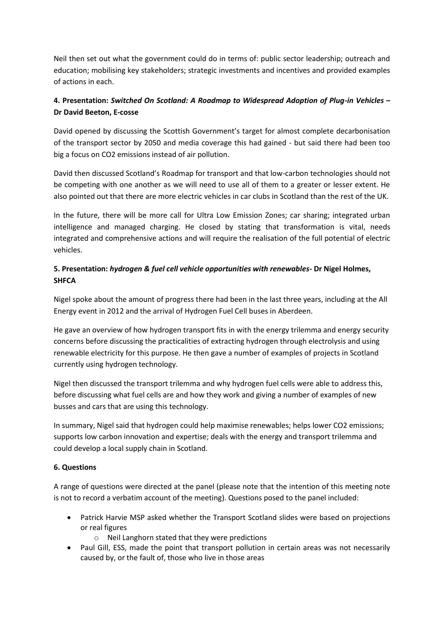Neil then set out what the government could do in terms of: public sector leadership; outreach and education; mobilising key stakeholders; strategic investments and incentives and provided examples of actions in each.

# **4. Presentation:** *Switched On Scotland: A Roadmap to Widespread Adoption of Plug-in Vehicles* **– Dr David Beeton, E-cosse**

David opened by discussing the Scottish Government's target for almost complete decarbonisation of the transport sector by 2050 and media coverage this had gained - but said there had been too big a focus on CO2 emissions instead of air pollution.

David then discussed Scotland's Roadmap for transport and that low-carbon technologies should not be competing with one another as we will need to use all of them to a greater or lesser extent. He also pointed out that there are more electric vehicles in car clubs in Scotland than the rest of the UK.

In the future, there will be more call for Ultra Low Emission Zones; car sharing; integrated urban intelligence and managed charging. He closed by stating that transformation is vital, needs integrated and comprehensive actions and will require the realisation of the full potential of electric vehicles.

## **5. Presentation:** *hydrogen & fuel cell vehicle opportunities with renewables***- Dr Nigel Holmes, SHFCA**

Nigel spoke about the amount of progress there had been in the last three years, including at the All Energy event in 2012 and the arrival of Hydrogen Fuel Cell buses in Aberdeen.

He gave an overview of how hydrogen transport fits in with the energy trilemma and energy security concerns before discussing the practicalities of extracting hydrogen through electrolysis and using renewable electricity for this purpose. He then gave a number of examples of projects in Scotland currently using hydrogen technology.

Nigel then discussed the transport trilemma and why hydrogen fuel cells were able to address this, before discussing what fuel cells are and how they work and giving a number of examples of new busses and cars that are using this technology.

In summary, Nigel said that hydrogen could help maximise renewables; helps lower CO2 emissions; supports low carbon innovation and expertise; deals with the energy and transport trilemma and could develop a local supply chain in Scotland.

## **6. Questions**

A range of questions were directed at the panel (please note that the intention of this meeting note is not to record a verbatim account of the meeting). Questions posed to the panel included:

- Patrick Harvie MSP asked whether the Transport Scotland slides were based on projections or real figures
	- o Neil Langhorn stated that they were predictions
- Paul Gill, ESS, made the point that transport pollution in certain areas was not necessarily caused by, or the fault of, those who live in those areas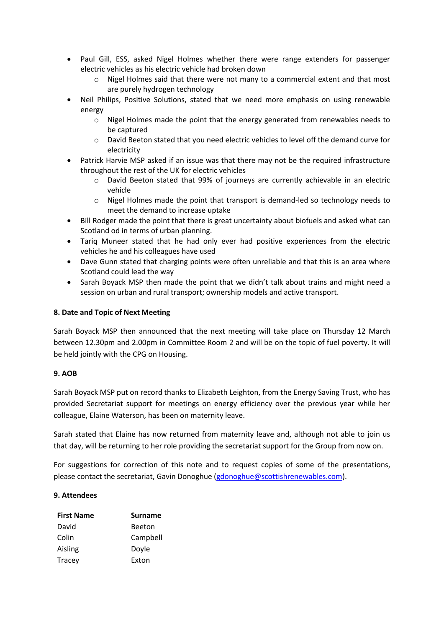- Paul Gill, ESS, asked Nigel Holmes whether there were range extenders for passenger electric vehicles as his electric vehicle had broken down
	- $\circ$  Nigel Holmes said that there were not many to a commercial extent and that most are purely hydrogen technology
- Neil Philips, Positive Solutions, stated that we need more emphasis on using renewable energy
	- o Nigel Holmes made the point that the energy generated from renewables needs to be captured
	- o David Beeton stated that you need electric vehicles to level off the demand curve for electricity
- Patrick Harvie MSP asked if an issue was that there may not be the required infrastructure throughout the rest of the UK for electric vehicles
	- o David Beeton stated that 99% of journeys are currently achievable in an electric vehicle
	- $\circ$  Nigel Holmes made the point that transport is demand-led so technology needs to meet the demand to increase uptake
- Bill Rodger made the point that there is great uncertainty about biofuels and asked what can Scotland od in terms of urban planning.
- Tariq Muneer stated that he had only ever had positive experiences from the electric vehicles he and his colleagues have used
- Dave Gunn stated that charging points were often unreliable and that this is an area where Scotland could lead the way
- Sarah Boyack MSP then made the point that we didn't talk about trains and might need a session on urban and rural transport; ownership models and active transport.

### **8. Date and Topic of Next Meeting**

Sarah Boyack MSP then announced that the next meeting will take place on Thursday 12 March between 12.30pm and 2.00pm in Committee Room 2 and will be on the topic of fuel poverty. It will be held jointly with the CPG on Housing.

## **9. AOB**

Sarah Boyack MSP put on record thanks to Elizabeth Leighton, from the Energy Saving Trust, who has provided Secretariat support for meetings on energy efficiency over the previous year while her colleague, Elaine Waterson, has been on maternity leave.

Sarah stated that Elaine has now returned from maternity leave and, although not able to join us that day, will be returning to her role providing the secretariat support for the Group from now on.

For suggestions for correction of this note and to request copies of some of the presentations, please contact the secretariat, Gavin Donoghue [\(gdonoghue@scottishrenewables.com\)](mailto:gdonoghue@scottishrenewables.com).

#### **9. Attendees**

| <b>First Name</b> | <b>Surname</b> |
|-------------------|----------------|
| David             | <b>Beeton</b>  |
| Colin             | Campbell       |
| Aisling           | Doyle          |
| <b>Tracey</b>     | Exton          |